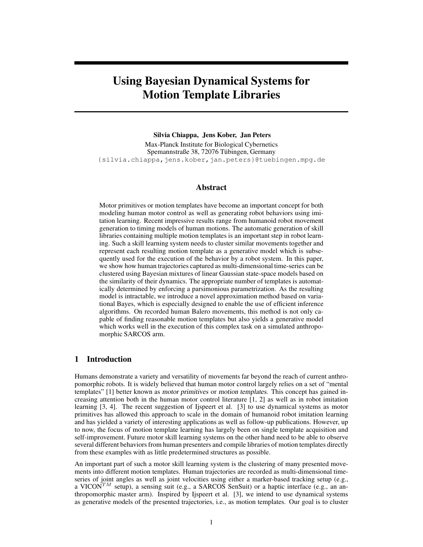# **Using Bayesian Dynamical Systems for Motion Template Libraries**

### **Silvia Chiappa, Jens Kober, Jan Peters**

Max-Planck Institute for Biological Cybernetics Spemannstraße 38, 72076 Tübingen, Germany {silvia.chiappa,jens.kober,jan.peters}@tuebingen.mpg.de

# **Abstract**

Motor primitives or motion templates have become an important concept for both modeling human motor control as well as generating robot behaviors using imitation learning. Recent impressive results range from humanoid robot movement generation to timing models of human motions. The automatic generation of skill libraries containing multiple motion templates is an important step in robot learning. Such a skill learning system needs to cluster similar movements together and represent each resulting motion template as a generative model which is subsequently used for the execution of the behavior by a robot system. In this paper, we show how human trajectories captured as multi-dimensional time-series can be clustered using Bayesian mixtures of linear Gaussian state-space models based on the similarity of their dynamics. The appropriate number of templates is automatically determined by enforcing a parsimonious parametrization. As the resulting model is intractable, we introduce a novel approximation method based on variational Bayes, which is especially designed to enable the use of efficient inference algorithms. On recorded human Balero movements, this method is not only capable of finding reasonable motion templates but also yields a generative model which works well in the execution of this complex task on a simulated anthropomorphic SARCOS arm.

# **1 Introduction**

Humans demonstrate a variety and versatility of movements far beyond the reach of current anthropomorphic robots. It is widely believed that human motor control largely relies on a set of "mental templates" [1] better known as motor primitives or motion templates. This concept has gained increasing attention both in the human motor control literature [1, 2] as well as in robot imitation learning [3, 4]. The recent suggestion of Ijspeert et al. [3] to use dynamical systems as motor primitives has allowed this approach to scale in the domain of humanoid robot imitation learning and has yielded a variety of interesting applications as well as follow-up publications. However, up to now, the focus of motion template learning has largely been on single template acquisition and self-improvement. Future motor skill learning systems on the other hand need to be able to observe several different behaviors from human presenters and compile libraries of motion templates directly from these examples with as little predetermined structures as possible.

An important part of such a motor skill learning system is the clustering of many presented movements into different motion templates. Human trajectories are recorded as multi-dimensional timeseries of joint angles as well as joint velocities using either a marker-based tracking setup (e.g., a VICON<sup>TM</sup> setup), a sensing suit (e.g., a SARCOS SenSuit) or a haptic interface (e.g., an anthropomorphic master arm). Inspired by Ijspeert et al. [3], we intend to use dynamical systems as generative models of the presented trajectories, i.e., as motion templates. Our goal is to cluster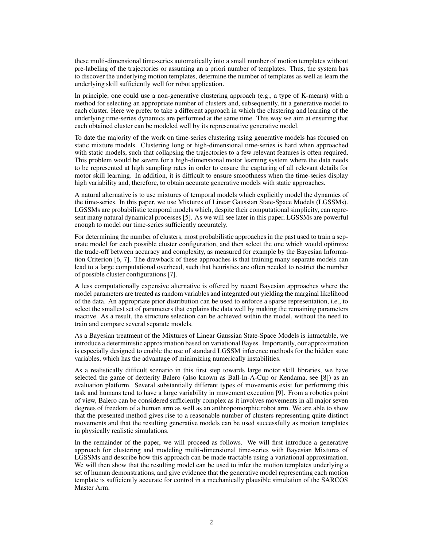these multi-dimensional time-series automatically into a small number of motion templates without pre-labeling of the trajectories or assuming an a priori number of templates. Thus, the system has to discover the underlying motion templates, determine the number of templates as well as learn the underlying skill sufficiently well for robot application.

In principle, one could use a non-generative clustering approach (e.g., a type of K-means) with a method for selecting an appropriate number of clusters and, subsequently, fit a generative model to each cluster. Here we prefer to take a different approach in which the clustering and learning of the underlying time-series dynamics are performed at the same time. This way we aim at ensuring that each obtained cluster can be modeled well by its representative generative model.

To date the majority of the work on time-series clustering using generative models has focused on static mixture models. Clustering long or high-dimensional time-series is hard when approached with static models, such that collapsing the trajectories to a few relevant features is often required. This problem would be severe for a high-dimensional motor learning system where the data needs to be represented at high sampling rates in order to ensure the capturing of all relevant details for motor skill learning. In addition, it is difficult to ensure smoothness when the time-series display high variability and, therefore, to obtain accurate generative models with static approaches.

A natural alternative is to use mixtures of temporal models which explicitly model the dynamics of the time-series. In this paper, we use Mixtures of Linear Gaussian State-Space Models (LGSSMs). LGSSMs are probabilistic temporal models which, despite their computational simplicity, can represent many natural dynamical processes [5]. As we will see later in this paper, LGSSMs are powerful enough to model our time-series sufficiently accurately.

For determining the number of clusters, most probabilistic approaches in the past used to train a separate model for each possible cluster configuration, and then select the one which would optimize the trade-off between accuracy and complexity, as measured for example by the Bayesian Information Criterion [6, 7]. The drawback of these approaches is that training many separate models can lead to a large computational overhead, such that heuristics are often needed to restrict the number of possible cluster configurations [7].

A less computationally expensive alternative is offered by recent Bayesian approaches where the model parameters are treated as random variables and integrated out yielding the marginal likelihood of the data. An appropriate prior distribution can be used to enforce a sparse representation, i.e., to select the smallest set of parameters that explains the data well by making the remaining parameters inactive. As a result, the structure selection can be achieved within the model, without the need to train and compare several separate models.

As a Bayesian treatment of the Mixtures of Linear Gaussian State-Space Models is intractable, we introduce a deterministic approximation based on variational Bayes. Importantly, our approximation is especially designed to enable the use of standard LGSSM inference methods for the hidden state variables, which has the advantage of minimizing numerically instabilities.

As a realistically difficult scenario in this first step towards large motor skill libraries, we have selected the game of dexterity Balero (also known as Ball-In-A-Cup or Kendama, see [8]) as an evaluation platform. Several substantially different types of movements exist for performing this task and humans tend to have a large variability in movement execution [9]. From a robotics point of view, Balero can be considered sufficiently complex as it involves movements in all major seven degrees of freedom of a human arm as well as an anthropomorphic robot arm. We are able to show that the presented method gives rise to a reasonable number of clusters representing quite distinct movements and that the resulting generative models can be used successfully as motion templates in physically realistic simulations.

In the remainder of the paper, we will proceed as follows. We will first introduce a generative approach for clustering and modeling multi-dimensional time-series with Bayesian Mixtures of LGSSMs and describe how this approach can be made tractable using a variational approximation. We will then show that the resulting model can be used to infer the motion templates underlying a set of human demonstrations, and give evidence that the generative model representing each motion template is sufficiently accurate for control in a mechanically plausible simulation of the SARCOS Master Arm.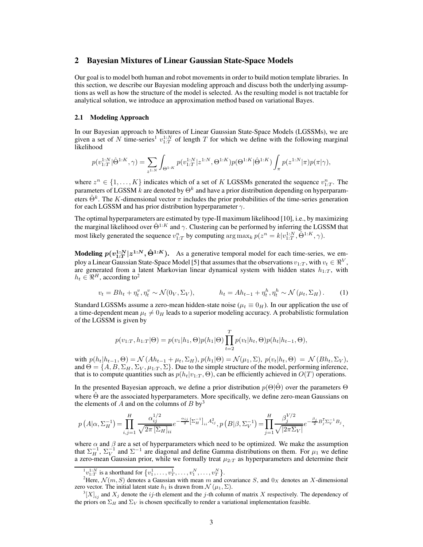# **2 Bayesian Mixtures of Linear Gaussian State-Space Models**

Our goal is to model both human and robot movements in order to build motion template libraries. In this section, we describe our Bayesian modeling approach and discuss both the underlying assumptions as well as how the structure of the model is selected. As the resulting model is not tractable for analytical solution, we introduce an approximation method based on variational Bayes.

## **2.1 Modeling Approach**

In our Bayesian approach to Mixtures of Linear Gaussian State-Space Models (LGSSMs), we are given a set of N time-series<sup>1</sup>  $v_{1:T}^{1:N}$  of length T for which we define with the following marginal likelihood

$$
p(v_{1:T}^{1:N}|\hat{\Theta}^{1:K},\gamma) = \sum_{z^{1:N}} \int_{\Theta^{1:K}} p(v_{1:T}^{1:N}|z^{1:N},\Theta^{1:K}) p(\Theta^{1:K}|\hat{\Theta}^{1:K}) \int_{\pi} p(z^{1:N}|\pi) p(\pi|\gamma),
$$

where  $z^n \in \{1, ..., K\}$  indicates which of a set of K LGSSMs generated the sequence  $v_{1:T}^n$ . The parameters of LGSSM  $k$  are denoted by  $\Theta^k$  and have a prior distribution depending on hyperparameters  $\hat{\Theta}^k$ . The K-dimensional vector  $\pi$  includes the prior probabilities of the time-series generation for each LGSSM and has prior distribution hyperparameter  $\gamma$ .

The optimal hyperparameters are estimated by type-II maximum likelihood [10], i.e., by maximizing the marginal likelihood over  $\hat{\Theta}^{1:K}$  and  $\gamma$ . Clustering can be performed by inferring the LGSSM that most likely generated the sequence  $v_{1:T}^n$  by computing  $\arg \max_k p(z^n = k | v_{1:T}^{1:N}, \hat{\Theta}^{1:K}, \gamma)$ .

**Modeling**  $p(v_{1:T}^{1:N} | z^{1:N}, \hat{\Theta}^{1:K})$ . As a generative temporal model for each time-series, we employ a Linear Gaussian State-Space Model [5] that assumes that the observations  $v_{1:T}$  , with  $v_t \in \Re^V,$ are generated from a latent Markovian linear dynamical system with hidden states  $h_{1:T}$ , with  $h_t \in \Re^H$ , according to<sup>2</sup>

$$
v_t = Bh_t + \eta_t^v, \eta_t^v \sim \mathcal{N}(0_V, \Sigma_V), \qquad h_t = Ah_{t-1} + \eta_t^h, \eta_t^h \sim \mathcal{N}(\mu_t, \Sigma_H). \tag{1}
$$

Standard LGSSMs assume a zero-mean hidden-state noise ( $\mu_t \equiv 0_H$ ). In our application the use of a time-dependent mean  $\mu_t \neq 0_H$  leads to a superior modeling accuracy. A probabilistic formulation of the LGSSM is given by

$$
p(v_{1:T}, h_{1:T}|\Theta) = p(v_1|h_1, \Theta)p(h_1|\Theta) \prod_{t=2}^{T} p(v_t|h_t, \Theta)p(h_t|h_{t-1}, \Theta),
$$

with  $p(h_t|h_{t-1}, \Theta) = \mathcal{N}(Ah_{t-1} + \mu_t, \Sigma_H), p(h_1|\Theta) = \mathcal{N}(\mu_1, \Sigma), p(v_t|h_t, \Theta) = \mathcal{N}(Bh_t, \Sigma_V),$ and  $\Theta = \{A, B, \Sigma_H, \Sigma_V, \mu_{1:T}, \Sigma\}$ . Due to the simple structure of the model, performing inference, that is to compute quantities such as  $p(h_t|v_{1:T}, \Theta)$ , can be efficiently achieved in  $O(T)$  operations.

In the presented Bayesian approach, we define a prior distribution  $p(\Theta|\hat{\Theta})$  over the parameters  $\Theta$ where  $\Theta$  are the associated hyperparameters. More specifically, we define zero-mean Gaussians on the elements of  $A$  and on the columns of  $B$  by<sup>3</sup>

$$
p\left(A|\alpha,\Sigma_{H}^{-1}\right) = \prod_{i,j=1}^{H} \frac{\alpha_{ij}^{1/2}}{\sqrt{2\pi \left[\Sigma_{H}\right]_{ii}}} e^{-\frac{\alpha_{ij}}{2}\left[\Sigma_{H}^{-1}\right]_{ii} A_{ij}^{2}}, p\left(B|\beta,\Sigma_{V}^{-1}\right) = \prod_{j=1}^{H} \frac{\beta_{j}^{V/2}}{\sqrt{|2\pi \Sigma_{V}|}} e^{-\frac{\beta_{j}}{2}B_{j}^{\mathsf{T}}\Sigma_{V}^{-1}B_{j}},
$$

where  $\alpha$  and  $\beta$  are a set of hyperparameters which need to be optimized. We make the assumption that  $\Sigma_H^{-1}$ ,  $\Sigma_V^{-1}$  and  $\Sigma^{-1}$  are diagonal and define Gamma distributions on them. For  $\mu_1$  we define a zero-mean Gaussian prior, while we formally treat  $\mu_{2:T}$  as hyperparameters and determine their

 ${}^{1}v_{1:T}^{1:N}$  is a shorthand for  $\{v_1^1, \ldots, v_T^1, \ldots, v_1^N, \ldots, v_T^N\}$ .

<sup>&</sup>lt;sup>2</sup>Here,  $\mathcal{N}(m, S)$  denotes a Gaussian with mean m and covariance S, and  $0<sub>X</sub>$  denotes an X-dimensional zero vector. The initial latent state  $h_1$  is drawn from  $\mathcal{N}(\mu_1, \Sigma)$ .

 ${}^3[X]_{ij}$  and  $X_j$  denote the ij-th element and the j-th column of matrix X respectively. The dependency of the priors on  $\Sigma_H$  and  $\Sigma_V$  is chosen specifically to render a variational implementation feasible.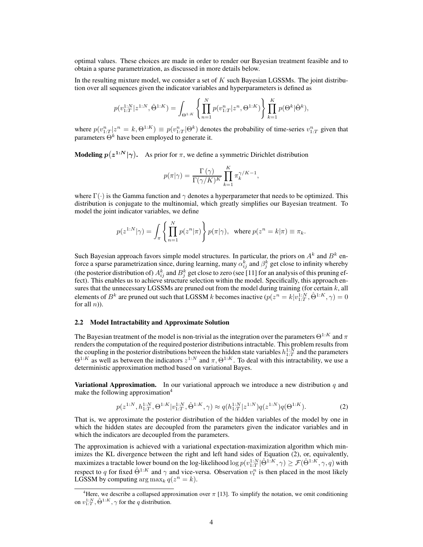optimal values. These choices are made in order to render our Bayesian treatment feasible and to obtain a sparse parametrization, as discussed in more details below.

In the resulting mixture model, we consider a set of  $K$  such Bayesian LGSSMs. The joint distribution over all sequences given the indicator variables and hyperparameters is defined as

$$
p(v_{1:T}^{1:N}|z^{1:N}, \hat{\Theta}^{1:K}) = \int_{\Theta^{1:K}} \left\{ \prod_{n=1}^{N} p(v_{1:T}^{n}|z^{n}, \Theta^{1:K}) \right\} \prod_{k=1}^{K} p(\Theta^{k}|\hat{\Theta}^{k}),
$$

where  $p(v_{1:T}^n | z^n = k, \Theta^{1:K}) \equiv p(v_{1:T}^n | \Theta^k)$  denotes the probability of time-series  $v_{1:T}^n$  given that parameters  $\Theta^k$  have been employed to generate it.

**Modeling**  $p(z^{1:N}|\gamma)$ . As prior for  $\pi$ , we define a symmetric Dirichlet distribution

$$
p(\pi|\gamma) = \frac{\Gamma(\gamma)}{\Gamma(\gamma/K)^K} \prod_{k=1}^K \pi_k^{\gamma/K-1},
$$

where  $\Gamma(\cdot)$  is the Gamma function and  $\gamma$  denotes a hyperparameter that needs to be optimized. This distribution is conjugate to the multinomial, which greatly simplifies our Bayesian treatment. To model the joint indicator variables, we define

$$
p(z^{1:N}|\gamma) = \int_{\pi} \left\{ \prod_{n=1}^{N} p(z^n|\pi) \right\} p(\pi|\gamma), \text{ where } p(z^n = k|\pi) \equiv \pi_k.
$$

Such Bayesian approach favors simple model structures. In particular, the priors on  $A^k$  and  $B^k$  enforce a sparse parametrization since, during learning, many  $\alpha_{ij}^k$  and  $\beta_j^k$  get close to infinity whereby (the posterior distribution of)  $A_{ij}^k$  and  $B_j^k$  get close to zero (see [11] for an analysis of this pruning effect). This enables us to achieve structure selection within the model. Specifically, this approach ensures that the unnecessary LGSSMs are pruned out from the model during training (for certain  $k$ , all elements of  $B^k$  are pruned out such that LGSSM k becomes inactive  $(p(z^n = k|v^{1:N}_{1:T}, \hat{\Theta}^{1:K}, \gamma) = 0$ for all  $n$ ).

## **2.2 Model Intractability and Approximate Solution**

The Bayesian treatment of the model is non-trivial as the integration over the parameters  $\Theta^{1:K}$  and  $\pi$ renders the computation of the required posterior distributions intractable. This problem results from the coupling in the posterior distributions between the hidden state variables  $h_{1:T}^{1:N}$  and the parameters  $\Theta^{1:K}$  as well as between the indicators  $z^{1:N}$  and  $\pi$ ,  $\Theta^{1:K}$ . To deal with this intractability, we use a deterministic approximation method based on variational Bayes.

**Variational Approximation.** In our variational approach we introduce a new distribution  $q$  and make the following approximation<sup>4</sup>

$$
p(z^{1:N}, h_{1:T}^{1:N}, \Theta^{1:K}|v_{1:T}^{1:N}, \hat{\Theta}^{1:K}, \gamma) \approx q(h_{1:T}^{1:N}|z^{1:N})q(z^{1:N})q(\Theta^{1:K}).
$$
\n(2)

That is, we approximate the posterior distribution of the hidden variables of the model by one in which the hidden states are decoupled from the parameters given the indicator variables and in which the indicators are decoupled from the parameters.

The approximation is achieved with a variational expectation-maximization algorithm which minimizes the KL divergence between the right and left hand sides of Equation (2), or, equivalently, maximizes a tractable lower bound on the log-likelihood  $\log p(v_{1:T}^{1:N} | \hat{\Theta}^{1:K}, \gamma) \ge \mathcal{F}(\hat{\Theta}^{1:K}, \gamma, q)$  with respect to q for fixed  $\hat{\Theta}^{1:K}$  and  $\gamma$  and vice-versa. Observation  $v_t^n$  is then placed in the most likely LGSSM by computing  $\arg \max_k q(z^n = k)$ .

<sup>&</sup>lt;sup>4</sup>Here, we describe a collapsed approximation over  $\pi$  [13]. To simplify the notation, we omit conditioning on  $v_{1:T}^{1:N}$ ,  $\hat{\Theta}^{1:K}$ ,  $\gamma$  for the q distribution.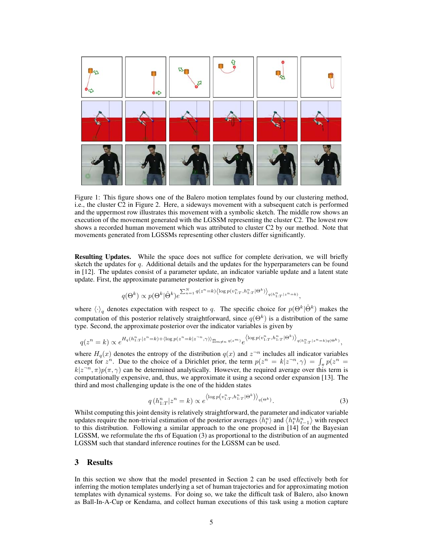

Figure 1: This figure shows one of the Balero motion templates found by our clustering method, i.e., the cluster C2 in Figure 2. Here, a sideways movement with a subsequent catch is performed and the uppermost row illustrates this movement with a symbolic sketch. The middle row shows an execution of the movement generated with the LGSSM representing the cluster C2. The lowest row shows a recorded human movement which was attributed to cluster C2 by our method. Note that movements generated from LGSSMs representing other clusters differ significantly.

**Resulting Updates.** While the space does not suffice for complete derivation, we will briefly sketch the updates for  $q$ . Additional details and the updates for the hyperparameters can be found in [12]. The updates consist of a parameter update, an indicator variable update and a latent state update. First, the approximate parameter posterior is given by

$$
q(\Theta^k) \propto p(\Theta^k|\hat{\Theta}^k)e^{\sum_{n=1}^N q(z^n=k)\left\langle \log p(v_{1:T}^n,h_{1:T}^n|\Theta^k)\right\rangle_{q(h_{1:T}^n|z^n=k)},
$$

where  $\langle \cdot \rangle_q$  denotes expectation with respect to q. The specific choice for  $p(\Theta^k | \hat{\Theta}^k)$  makes the computation of this posterior relatively straightforward, since  $q(\Theta^k)$  is a distribution of the same type. Second, the approximate posterior over the indicator variables is given by

$$
q(z^n = k) \propto e^{H_q(h_{1:T}^n | z^n = k) + \langle \log p(z^n = k | z^{-n}, \gamma) \rangle} \prod_{m \neq n} q(z^m) e^{\langle \log p(v_{1:T}^n, h_{1:T}^n | \Theta^k) \rangle} q(h_{1:T}^n | z^n = k) q(\Theta^k)
$$

where  $H_q(x)$  denotes the entropy of the distribution  $q(x)$  and  $z^{-n}$  includes all indicator variables except for  $z^n$ . Due to the choice of a Dirichlet prior, the term  $p(z^n = k|z^{-n}, \gamma) = \int_{\pi} p(z^n = k)$  $k|z^{-n}, \pi)p(\pi, \gamma)$  can be determined analytically. However, the required average over this term is  $k|z^{-n}, \pi)p(\pi, \gamma)$  can be determined analytically. However, the required average over this term is computationally expensive, and, thus, we approximate it using a second order expansion [13]. The third and most challenging update is the one of the hidden states

$$
q\left(h_{1:T}^n|z^n=k\right) \propto e^{\left\langle\log p\left(v_{1:T}^n, h_{1:T}^n|\Theta^k\right)\right\rangle_{q\left(\Theta^k\right)}}.\tag{3}
$$

,

Whilst computing this joint density is relatively straightforward, the parameter and indicator variable updates require the non-trivial estimation of the posterior averages  $\langle h_t^n \rangle$  and  $\langle h_t^n h_{t-1}^n \rangle$  with respect to this distribution. Following a similar approach to the one proposed in [14] for the Bayesian LGSSM, we reformulate the rhs of Equation (3) as proportional to the distribution of an augmented LGSSM such that standard inference routines for the LGSSM can be used.

## **3 Results**

In this section we show that the model presented in Section 2 can be used effectively both for inferring the motion templates underlying a set of human trajectories and for approximating motion templates with dynamical systems. For doing so, we take the difficult task of Balero, also known as Ball-In-A-Cup or Kendama, and collect human executions of this task using a motion capture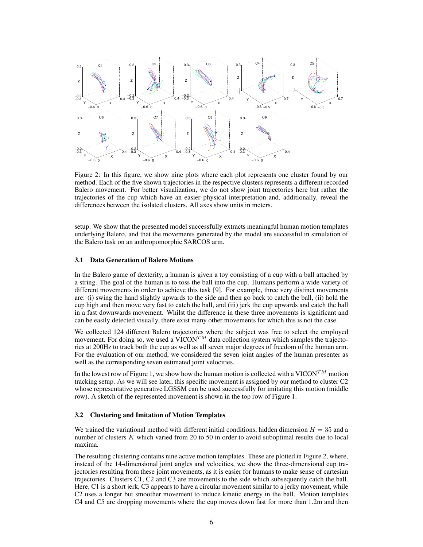

Figure 2: In this figure, we show nine plots where each plot represents one cluster found by our method. Each of the five shown trajectories in the respective clusters represents a different recorded Balero movement. For better visualization, we do not show joint trajectories here but rather the trajectories of the cup which have an easier physical interpretation and, additionally, reveal the differences between the isolated clusters. All axes show units in meters.

setup. We show that the presented model successfully extracts meaningful human motion templates underlying Balero, and that the movements generated by the model are successful in simulation of the Balero task on an anthropomorphic SARCOS arm.

### **3.1 Data Generation of Balero Motions**

In the Balero game of dexterity, a human is given a toy consisting of a cup with a ball attached by a string. The goal of the human is to toss the ball into the cup. Humans perform a wide variety of different movements in order to achieve this task [9]. For example, three very distinct movements are: (i) swing the hand slightly upwards to the side and then go back to catch the ball, (ii) hold the cup high and then move very fast to catch the ball, and (iii) jerk the cup upwards and catch the ball in a fast downwards movement. Whilst the difference in these three movements is significant and can be easily detected visually, there exist many other movements for which this is not the case.

We collected 124 different Balero trajectories where the subject was free to select the employed movement. For doing so, we used a VICON<sup>TM</sup> data collection system which samples the trajectories at 200Hz to track both the cup as well as all seven major degrees of freedom of the human arm. For the evaluation of our method, we considered the seven joint angles of the human presenter as well as the corresponding seven estimated joint velocities.

In the lowest row of Figure 1, we show how the human motion is collected with a VICON<sup>TM</sup> motion tracking setup. As we will see later, this specific movement is assigned by our method to cluster C2 whose representative generative LGSSM can be used successfully for imitating this motion (middle row). A sketch of the represented movement is shown in the top row of Figure 1.

## **3.2 Clustering and Imitation of Motion Templates**

We trained the variational method with different initial conditions, hidden dimension  $H = 35$  and a number of clusters  $K$  which varied from 20 to 50 in order to avoid suboptimal results due to local maxima.

The resulting clustering contains nine active motion templates. These are plotted in Figure 2, where, instead of the 14-dimensional joint angles and velocities, we show the three-dimensional cup trajectories resulting from these joint movements, as it is easier for humans to make sense of cartesian trajectories. Clusters C1, C2 and C3 are movements to the side which subsequently catch the ball. Here, C1 is a short jerk, C3 appears to have a circular movement similar to a jerky movement, while C2 uses a longer but smoother movement to induce kinetic energy in the ball. Motion templates C4 and C5 are dropping movements where the cup moves down fast for more than 1.2m and then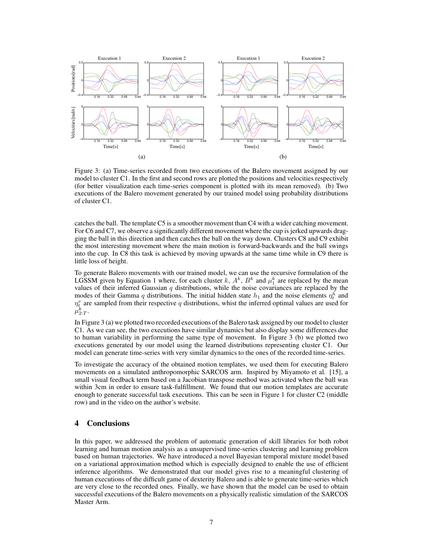

Figure 3: (a) Time-series recorded from two executions of the Balero movement assigned by our model to cluster C1. In the first and second rows are plotted the positions and velocities respectively (for better visualization each time-series component is plotted with its mean removed). (b) Two executions of the Balero movement generated by our trained model using probability distributions of cluster C1.

catches the ball. The template C5 is a smoother movement than C4 with a wider catching movement. For C6 and C7, we observe a significantly different movement where the cup is jerked upwards dragging the ball in this direction and then catches the ball on the way down. Clusters C8 and C9 exhibit the most interesting movement where the main motion is forward-backwards and the ball swings into the cup. In C8 this task is achieved by moving upwards at the same time while in C9 there is little loss of height.

To generate Balero movements with our trained model, we can use the recursive formulation of the LGSSM given by Equation 1 where, for each cluster k,  $A^k$ ,  $B^k$  and  $\mu_1^k$  are replaced by the mean values of their inferred Gaussian  $q$  distributions, while the noise covariances are replaced by the modes of their Gamma q distributions. The initial hidden state  $h_1$  and the noise elements  $\eta_t^h$  and through their values of their values of the interest of the interest  $n_1$  and the inferred optimal values are used for  $n_i^v$  are sampled from their respective q distributions, whist the inferred optimal values are used  $\mu^k_{2:T}.$ 

In Figure 3 (a) we plotted two recorded executions of the Balero task assigned by our model to cluster C1. As we can see, the two executions have similar dynamics but also display some differences due to human variability in performing the same type of movement. In Figure 3 (b) we plotted two executions generated by our model using the learned distributions representing cluster C1. Our model can generate time-series with very similar dynamics to the ones of the recorded time-series.

To investigate the accuracy of the obtained motion templates, we used them for executing Balero movements on a simulated anthropomorphic SARCOS arm. Inspired by Miyamoto et al. [15], a small visual feedback term based on a Jacobian transpose method was activated when the ball was within 3cm in order to ensure task-fulfillment. We found that our motion templates are accurate enough to generate successful task executions. This can be seen in Figure 1 for cluster C2 (middle row) and in the video on the author's website.

# **4 Conclusions**

In this paper, we addressed the problem of automatic generation of skill libraries for both robot learning and human motion analysis as a unsupervised time-series clustering and learning problem based on human trajectories. We have introduced a novel Bayesian temporal mixture model based on a variational approximation method which is especially designed to enable the use of efficient inference algorithms. We demonstrated that our model gives rise to a meaningful clustering of human executions of the difficult game of dexterity Balero and is able to generate time-series which are very close to the recorded ones. Finally, we have shown that the model can be used to obtain successful executions of the Balero movements on a physically realistic simulation of the SARCOS Master Arm.